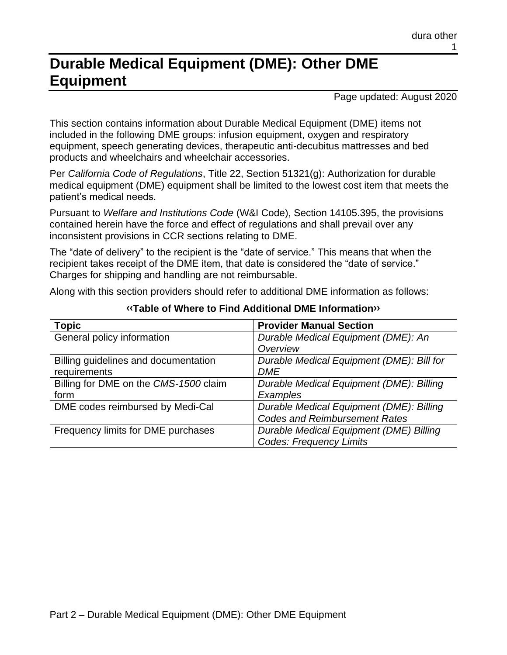# **Durable Medical Equipment (DME): Other DME Equipment**

Page updated: August 2020

This section contains information about Durable Medical Equipment (DME) items not included in the following DME groups: infusion equipment, oxygen and respiratory equipment, speech generating devices, therapeutic anti-decubitus mattresses and bed products and wheelchairs and wheelchair accessories.

Per *California Code of Regulations*, Title 22, Section 51321(g): Authorization for durable medical equipment (DME) equipment shall be limited to the lowest cost item that meets the patient's medical needs.

Pursuant to *Welfare and Institutions Code* (W&I Code), Section 14105.395, the provisions contained herein have the force and effect of regulations and shall prevail over any inconsistent provisions in CCR sections relating to DME.

The "date of delivery" to the recipient is the "date of service." This means that when the recipient takes receipt of the DME item, that date is considered the "date of service." Charges for shipping and handling are not reimbursable.

Along with this section providers should refer to additional DME information as follows:

| <b>Topic</b>                          | <b>Provider Manual Section</b>            |
|---------------------------------------|-------------------------------------------|
| General policy information            | Durable Medical Equipment (DME): An       |
|                                       | Overview                                  |
| Billing guidelines and documentation  | Durable Medical Equipment (DME): Bill for |
| requirements                          | <b>DME</b>                                |
| Billing for DME on the CMS-1500 claim | Durable Medical Equipment (DME): Billing  |
| form                                  | Examples                                  |
| DME codes reimbursed by Medi-Cal      | Durable Medical Equipment (DME): Billing  |
|                                       | <b>Codes and Reimbursement Rates</b>      |
| Frequency limits for DME purchases    | Durable Medical Equipment (DME) Billing   |
|                                       | <b>Codes: Frequency Limits</b>            |

#### **[‹‹T](#page-37-0)able of Where to Find Additional DME Informatio[n››](#page-37-1)**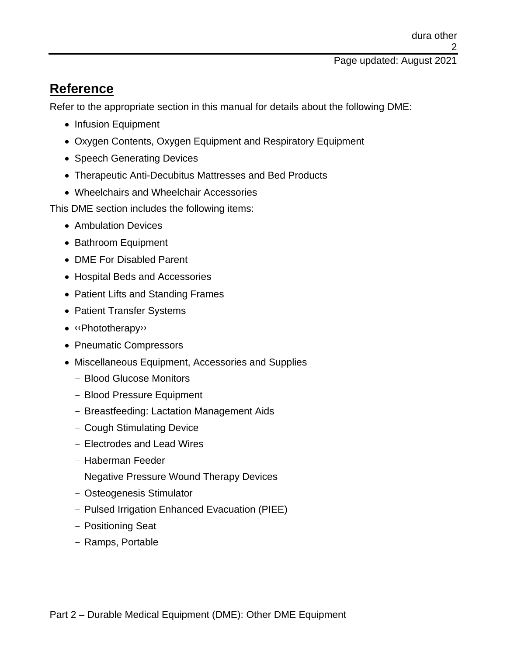# **Reference**

Refer to the appropriate section in this manual for details about the following DME:

- Infusion Equipment
- Oxygen Contents, Oxygen Equipment and Respiratory Equipment
- Speech Generating Devices
- Therapeutic Anti-Decubitus Mattresses and Bed Products
- Wheelchairs and Wheelchair Accessories

This DME section includes the following items:

- Ambulation Devices
- Bathroom Equipment
- DME For Disabled Parent
- Hospital Beds and Accessories
- Patient Lifts and Standing Frames
- Patient Transfer Systems
- [‹‹P](#page-37-0)hototherap[y››](#page-37-1)
- Pneumatic Compressors
- Miscellaneous Equipment, Accessories and Supplies
	- Blood Glucose Monitors
	- Blood Pressure Equipment
	- Breastfeeding: Lactation Management Aids
	- Cough Stimulating Device
	- Electrodes and Lead Wires
	- Haberman Feeder
	- Negative Pressure Wound Therapy Devices
	- Osteogenesis Stimulator
	- Pulsed Irrigation Enhanced Evacuation (PIEE)
	- Positioning Seat
	- Ramps, Portable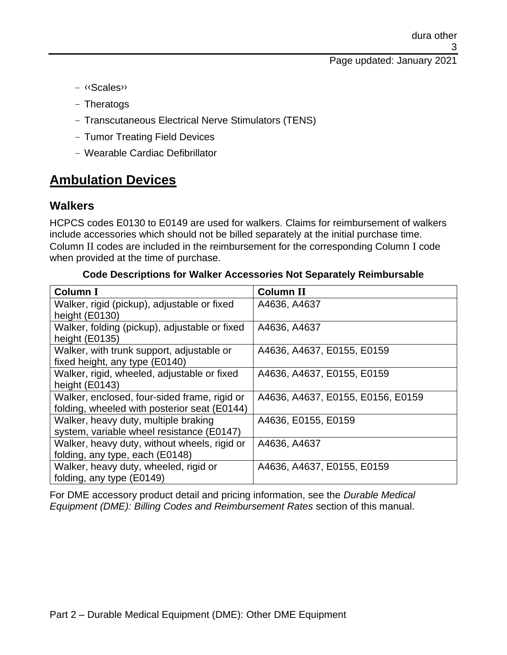Page updated: January 2021

- [‹‹S](#page-37-0)cale[s››](#page-37-1)
- Theratogs
- Transcutaneous Electrical Nerve Stimulators (TENS)
- Tumor Treating Field Devices
- Wearable Cardiac Defibrillator

# **Ambulation Devices**

## **Walkers**

HCPCS codes E0130 to E0149 are used for walkers. Claims for reimbursement of walkers include accessories which should not be billed separately at the initial purchase time. Column II codes are included in the reimbursement for the corresponding Column I code when provided at the time of purchase.

#### **Code Descriptions for Walker Accessories Not Separately Reimbursable**

| <b>Column I</b>                               | <b>Column II</b>                  |
|-----------------------------------------------|-----------------------------------|
| Walker, rigid (pickup), adjustable or fixed   | A4636, A4637                      |
| height (E0130)                                |                                   |
| Walker, folding (pickup), adjustable or fixed | A4636, A4637                      |
| height (E0135)                                |                                   |
| Walker, with trunk support, adjustable or     | A4636, A4637, E0155, E0159        |
| fixed height, any type (E0140)                |                                   |
| Walker, rigid, wheeled, adjustable or fixed   | A4636, A4637, E0155, E0159        |
| height (E0143)                                |                                   |
| Walker, enclosed, four-sided frame, rigid or  | A4636, A4637, E0155, E0156, E0159 |
| folding, wheeled with posterior seat (E0144)  |                                   |
| Walker, heavy duty, multiple braking          | A4636, E0155, E0159               |
| system, variable wheel resistance (E0147)     |                                   |
| Walker, heavy duty, without wheels, rigid or  | A4636, A4637                      |
| folding, any type, each (E0148)               |                                   |
| Walker, heavy duty, wheeled, rigid or         | A4636, A4637, E0155, E0159        |
| folding, any type (E0149)                     |                                   |

For DME accessory product detail and pricing information, see the *Durable Medical Equipment (DME): Billing Codes and Reimbursement Rates* section of this manual.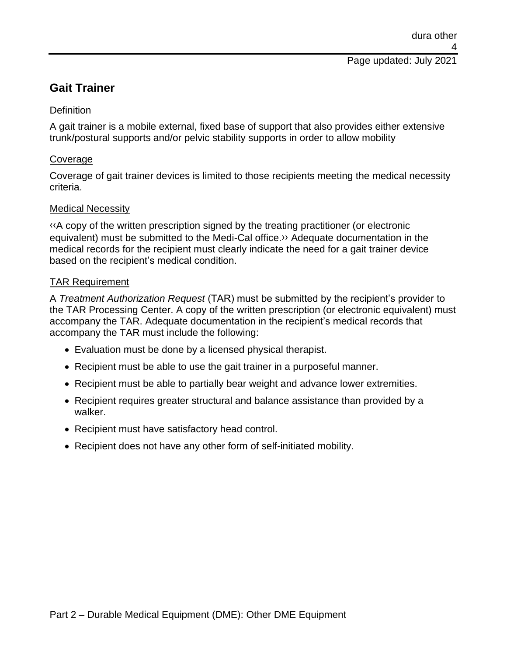## **Gait Trainer**

#### **Definition**

A gait trainer is a mobile external, fixed base of support that also provides either extensive trunk/postural supports and/or pelvic stability supports in order to allow mobility

### Coverage

Coverage of gait trainer devices is limited to those recipients meeting the medical necessity criteria.

#### Medical Necessity

[‹‹A](#page-37-0) copy of the written prescription signed by the treating practitioner (or electronic equivalent) must be submitted to the Medi-Cal office[.››](#page-37-1) Adequate documentation in the medical records for the recipient must clearly indicate the need for a gait trainer device based on the recipient's medical condition.

#### TAR Requirement

A *Treatment Authorization Request* (TAR) must be submitted by the recipient's provider to the TAR Processing Center. A copy of the written prescription (or electronic equivalent) must accompany the TAR. Adequate documentation in the recipient's medical records that accompany the TAR must include the following:

- Evaluation must be done by a licensed physical therapist.
- Recipient must be able to use the gait trainer in a purposeful manner.
- Recipient must be able to partially bear weight and advance lower extremities.
- Recipient requires greater structural and balance assistance than provided by a walker.
- Recipient must have satisfactory head control.
- Recipient does not have any other form of self-initiated mobility.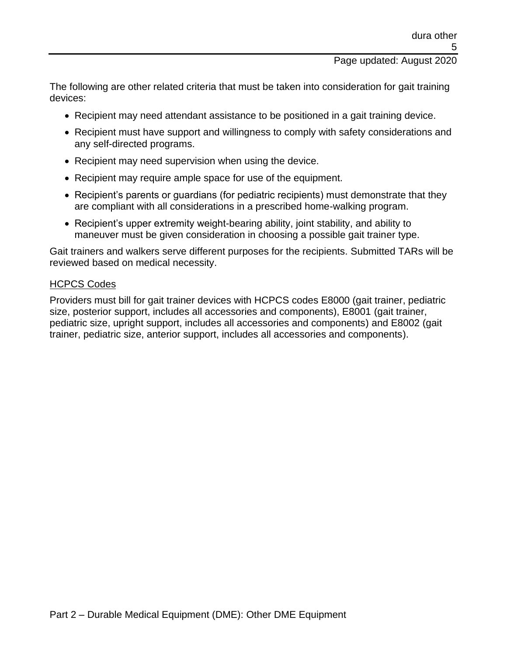Page updated: August 2020

The following are other related criteria that must be taken into consideration for gait training devices:

- Recipient may need attendant assistance to be positioned in a gait training device.
- Recipient must have support and willingness to comply with safety considerations and any self-directed programs.
- Recipient may need supervision when using the device.
- Recipient may require ample space for use of the equipment.
- Recipient's parents or guardians (for pediatric recipients) must demonstrate that they are compliant with all considerations in a prescribed home-walking program.
- Recipient's upper extremity weight-bearing ability, joint stability, and ability to maneuver must be given consideration in choosing a possible gait trainer type.

Gait trainers and walkers serve different purposes for the recipients. Submitted TARs will be reviewed based on medical necessity.

#### HCPCS Codes

Providers must bill for gait trainer devices with HCPCS codes E8000 (gait trainer, pediatric size, posterior support, includes all accessories and components), E8001 (gait trainer, pediatric size, upright support, includes all accessories and components) and E8002 (gait trainer, pediatric size, anterior support, includes all accessories and components).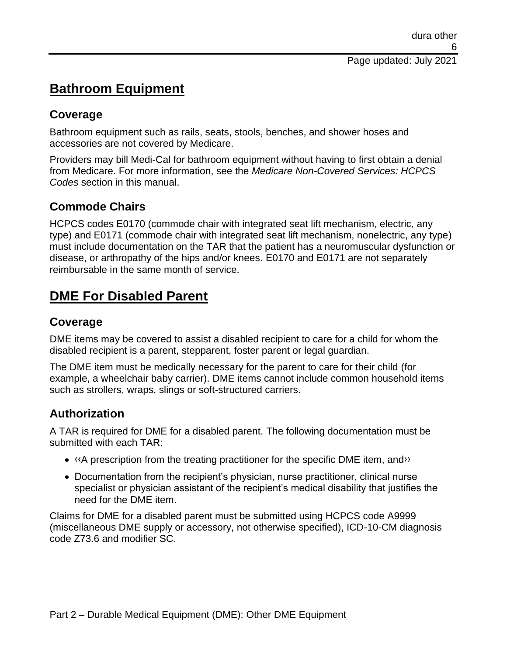# **Bathroom Equipment**

## **Coverage**

Bathroom equipment such as rails, seats, stools, benches, and shower hoses and accessories are not covered by Medicare.

Providers may bill Medi-Cal for bathroom equipment without having to first obtain a denial from Medicare. For more information, see the *Medicare Non-Covered Services: HCPCS Codes* section in this manual.

# **Commode Chairs**

HCPCS codes E0170 (commode chair with integrated seat lift mechanism, electric, any type) and E0171 (commode chair with integrated seat lift mechanism, nonelectric, any type) must include documentation on the TAR that the patient has a neuromuscular dysfunction or disease, or arthropathy of the hips and/or knees. E0170 and E0171 are not separately reimbursable in the same month of service.

# **DME For Disabled Parent**

# **Coverage**

DME items may be covered to assist a disabled recipient to care for a child for whom the disabled recipient is a parent, stepparent, foster parent or legal guardian.

The DME item must be medically necessary for the parent to care for their child (for example, a wheelchair baby carrier). DME items cannot include common household items such as strollers, wraps, slings or soft-structured carriers.

# **Authorization**

A TAR is required for DME for a disabled parent. The following documentation must be submitted with each TAR:

- «A prescription from the treating practitioner for the specific DME item, and »
- Documentation from the recipient's physician, nurse practitioner, clinical nurse specialist or physician assistant of the recipient's medical disability that justifies the need for the DME item.

Claims for DME for a disabled parent must be submitted using HCPCS code A9999 (miscellaneous DME supply or accessory, not otherwise specified), ICD-10-CM diagnosis code Z73.6 and modifier SC.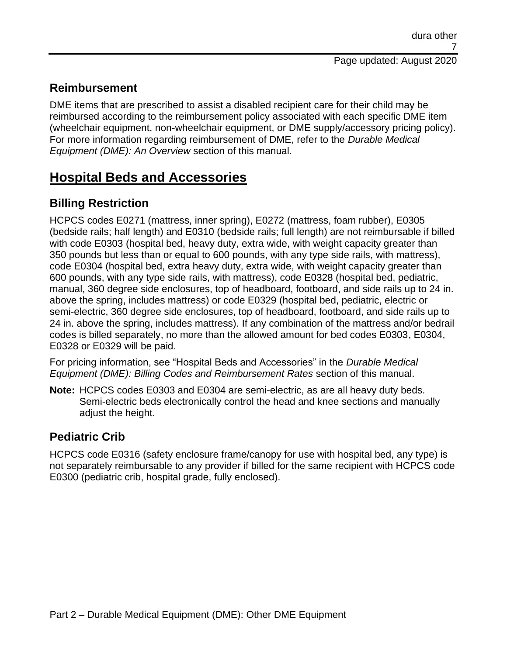# **Reimbursement**

DME items that are prescribed to assist a disabled recipient care for their child may be reimbursed according to the reimbursement policy associated with each specific DME item (wheelchair equipment, non-wheelchair equipment, or DME supply/accessory pricing policy). For more information regarding reimbursement of DME, refer to the *Durable Medical Equipment (DME): An Overview* section of this manual.

# **Hospital Beds and Accessories**

# **Billing Restriction**

HCPCS codes E0271 (mattress, inner spring), E0272 (mattress, foam rubber), E0305 (bedside rails; half length) and E0310 (bedside rails; full length) are not reimbursable if billed with code E0303 (hospital bed, heavy duty, extra wide, with weight capacity greater than 350 pounds but less than or equal to 600 pounds, with any type side rails, with mattress), code E0304 (hospital bed, extra heavy duty, extra wide, with weight capacity greater than 600 pounds, with any type side rails, with mattress), code E0328 (hospital bed, pediatric, manual, 360 degree side enclosures, top of headboard, footboard, and side rails up to 24 in. above the spring, includes mattress) or code E0329 (hospital bed, pediatric, electric or semi-electric, 360 degree side enclosures, top of headboard, footboard, and side rails up to 24 in. above the spring, includes mattress). If any combination of the mattress and/or bedrail codes is billed separately, no more than the allowed amount for bed codes E0303, E0304, E0328 or E0329 will be paid.

For pricing information, see "Hospital Beds and Accessories" in the *Durable Medical Equipment (DME): Billing Codes and Reimbursement Rates* section of this manual.

**Note:** HCPCS codes E0303 and E0304 are semi-electric, as are all heavy duty beds. Semi-electric beds electronically control the head and knee sections and manually adjust the height.

## **Pediatric Crib**

HCPCS code E0316 (safety enclosure frame/canopy for use with hospital bed, any type) is not separately reimbursable to any provider if billed for the same recipient with HCPCS code E0300 (pediatric crib, hospital grade, fully enclosed).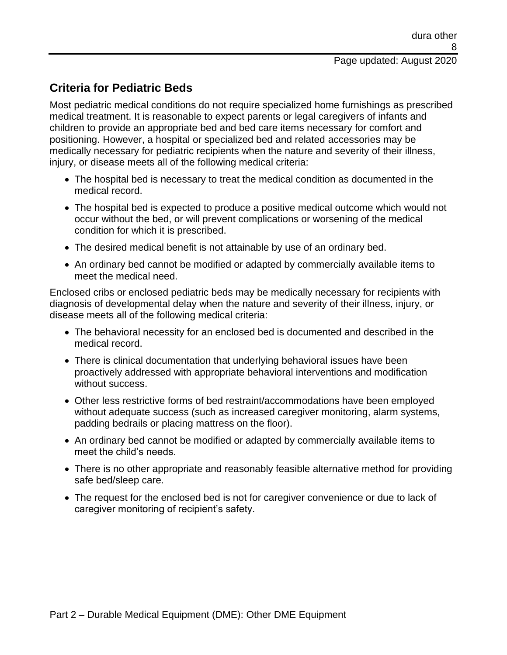# **Criteria for Pediatric Beds**

Most pediatric medical conditions do not require specialized home furnishings as prescribed medical treatment. It is reasonable to expect parents or legal caregivers of infants and children to provide an appropriate bed and bed care items necessary for comfort and positioning. However, a hospital or specialized bed and related accessories may be medically necessary for pediatric recipients when the nature and severity of their illness, injury, or disease meets all of the following medical criteria:

- The hospital bed is necessary to treat the medical condition as documented in the medical record.
- The hospital bed is expected to produce a positive medical outcome which would not occur without the bed, or will prevent complications or worsening of the medical condition for which it is prescribed.
- The desired medical benefit is not attainable by use of an ordinary bed.
- An ordinary bed cannot be modified or adapted by commercially available items to meet the medical need.

Enclosed cribs or enclosed pediatric beds may be medically necessary for recipients with diagnosis of developmental delay when the nature and severity of their illness, injury, or disease meets all of the following medical criteria:

- The behavioral necessity for an enclosed bed is documented and described in the medical record.
- There is clinical documentation that underlying behavioral issues have been proactively addressed with appropriate behavioral interventions and modification without success.
- Other less restrictive forms of bed restraint/accommodations have been employed without adequate success (such as increased caregiver monitoring, alarm systems, padding bedrails or placing mattress on the floor).
- An ordinary bed cannot be modified or adapted by commercially available items to meet the child's needs.
- There is no other appropriate and reasonably feasible alternative method for providing safe bed/sleep care.
- The request for the enclosed bed is not for caregiver convenience or due to lack of caregiver monitoring of recipient's safety.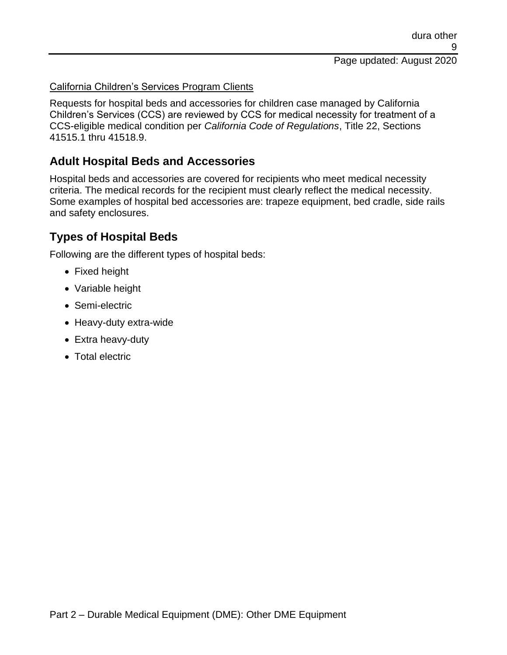#### California Children's Services Program Clients

Requests for hospital beds and accessories for children case managed by California Children's Services (CCS) are reviewed by CCS for medical necessity for treatment of a CCS-eligible medical condition per *California Code of Regulations*, Title 22, Sections 41515.1 thru 41518.9.

## **Adult Hospital Beds and Accessories**

Hospital beds and accessories are covered for recipients who meet medical necessity criteria. The medical records for the recipient must clearly reflect the medical necessity. Some examples of hospital bed accessories are: trapeze equipment, bed cradle, side rails and safety enclosures.

## **Types of Hospital Beds**

Following are the different types of hospital beds:

- Fixed height
- Variable height
- Semi-electric
- Heavy-duty extra-wide
- Extra heavy-duty
- Total electric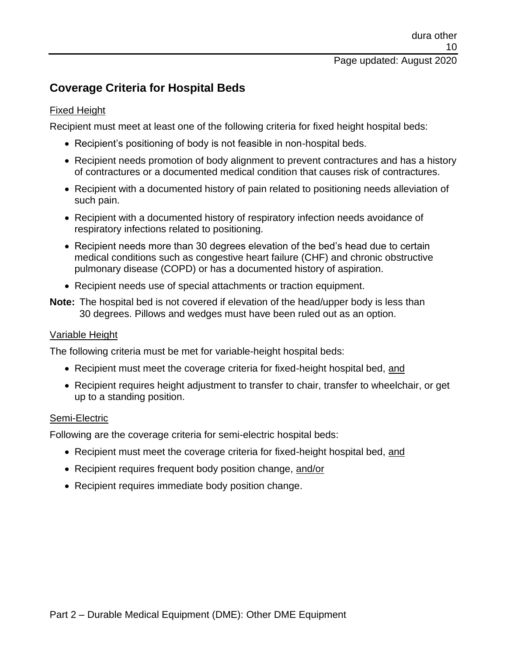## **Coverage Criteria for Hospital Beds**

#### Fixed Height

Recipient must meet at least one of the following criteria for fixed height hospital beds:

- Recipient's positioning of body is not feasible in non-hospital beds.
- Recipient needs promotion of body alignment to prevent contractures and has a history of contractures or a documented medical condition that causes risk of contractures.
- Recipient with a documented history of pain related to positioning needs alleviation of such pain.
- Recipient with a documented history of respiratory infection needs avoidance of respiratory infections related to positioning.
- Recipient needs more than 30 degrees elevation of the bed's head due to certain medical conditions such as congestive heart failure (CHF) and chronic obstructive pulmonary disease (COPD) or has a documented history of aspiration.
- Recipient needs use of special attachments or traction equipment.
- **Note:** The hospital bed is not covered if elevation of the head/upper body is less than 30 degrees. Pillows and wedges must have been ruled out as an option.

### Variable Height

The following criteria must be met for variable-height hospital beds:

- Recipient must meet the coverage criteria for fixed-height hospital bed, and
- Recipient requires height adjustment to transfer to chair, transfer to wheelchair, or get up to a standing position.

### Semi-Electric

Following are the coverage criteria for semi-electric hospital beds:

- Recipient must meet the coverage criteria for fixed-height hospital bed, and
- Recipient requires frequent body position change, and/or
- Recipient requires immediate body position change.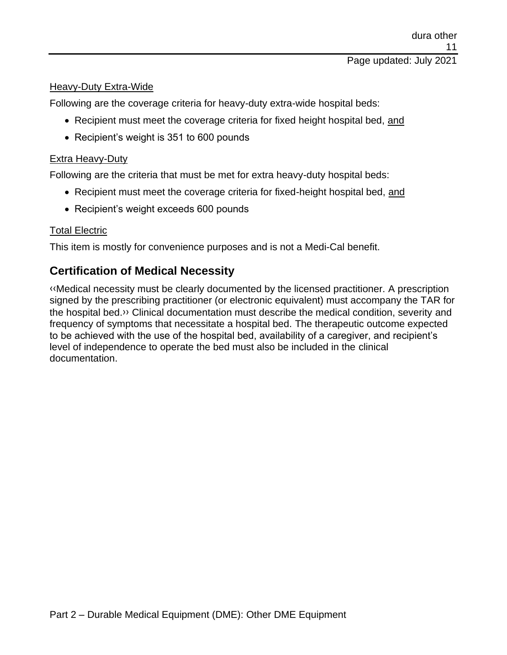#### Heavy-Duty Extra-Wide

Following are the coverage criteria for heavy-duty extra-wide hospital beds:

- Recipient must meet the coverage criteria for fixed height hospital bed, and
- Recipient's weight is 351 to 600 pounds

#### **Extra Heavy-Duty**

Following are the criteria that must be met for extra heavy-duty hospital beds:

- Recipient must meet the coverage criteria for fixed-height hospital bed, and
- Recipient's weight exceeds 600 pounds

#### Total Electric

This item is mostly for convenience purposes and is not a Medi-Cal benefit.

## **Certification of Medical Necessity**

[‹‹M](#page-37-0)edical necessity must be clearly documented by the licensed practitioner. A prescription signed by the prescribing practitioner (or electronic equivalent) must accompany the TAR for the hospital bed[.››](#page-37-1) Clinical documentation must describe the medical condition, severity and frequency of symptoms that necessitate a hospital bed. The therapeutic outcome expected to be achieved with the use of the hospital bed, availability of a caregiver, and recipient's level of independence to operate the bed must also be included in the clinical documentation.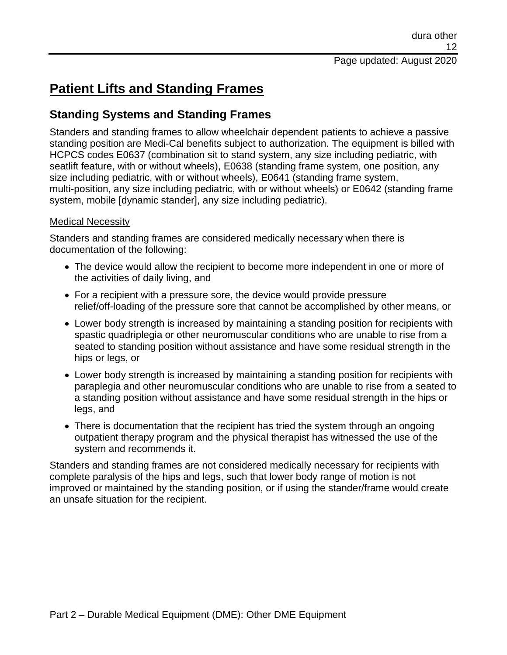# **Patient Lifts and Standing Frames**

## **Standing Systems and Standing Frames**

Standers and standing frames to allow wheelchair dependent patients to achieve a passive standing position are Medi-Cal benefits subject to authorization. The equipment is billed with HCPCS codes E0637 (combination sit to stand system, any size including pediatric, with seatlift feature, with or without wheels), E0638 (standing frame system, one position, any size including pediatric, with or without wheels), E0641 (standing frame system, multi-position, any size including pediatric, with or without wheels) or E0642 (standing frame system, mobile [dynamic stander], any size including pediatric).

### Medical Necessity

Standers and standing frames are considered medically necessary when there is documentation of the following:

- The device would allow the recipient to become more independent in one or more of the activities of daily living, and
- For a recipient with a pressure sore, the device would provide pressure relief/off-loading of the pressure sore that cannot be accomplished by other means, or
- Lower body strength is increased by maintaining a standing position for recipients with spastic quadriplegia or other neuromuscular conditions who are unable to rise from a seated to standing position without assistance and have some residual strength in the hips or legs, or
- Lower body strength is increased by maintaining a standing position for recipients with paraplegia and other neuromuscular conditions who are unable to rise from a seated to a standing position without assistance and have some residual strength in the hips or legs, and
- There is documentation that the recipient has tried the system through an ongoing outpatient therapy program and the physical therapist has witnessed the use of the system and recommends it.

Standers and standing frames are not considered medically necessary for recipients with complete paralysis of the hips and legs, such that lower body range of motion is not improved or maintained by the standing position, or if using the stander/frame would create an unsafe situation for the recipient.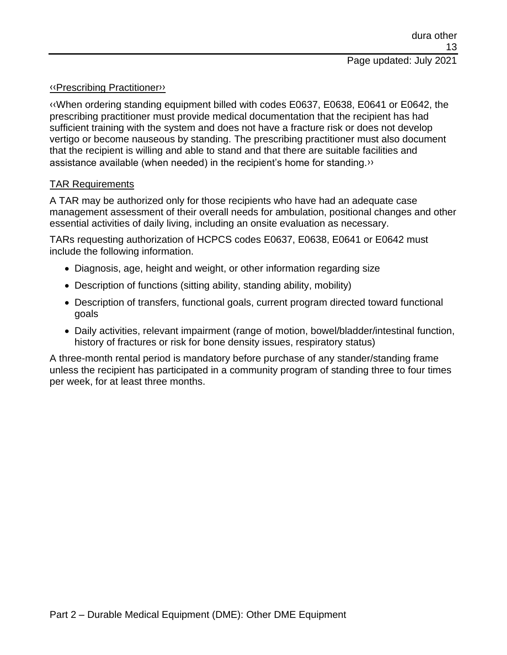#### [‹‹P](#page-37-0)rescribing Practitione[r››](#page-37-1)

[‹‹W](#page-37-0)hen ordering standing equipment billed with codes E0637, E0638, E0641 or E0642, the prescribing practitioner must provide medical documentation that the recipient has had sufficient training with the system and does not have a fracture risk or does not develop vertigo or become nauseous by standing. The prescribing practitioner must also document that the recipient is willing and able to stand and that there are suitable facilities and assistance available (when needed) in the recipient's home for standing[.››](#page-37-1)

#### TAR Requirements

A TAR may be authorized only for those recipients who have had an adequate case management assessment of their overall needs for ambulation, positional changes and other essential activities of daily living, including an onsite evaluation as necessary.

TARs requesting authorization of HCPCS codes E0637, E0638, E0641 or E0642 must include the following information.

- Diagnosis, age, height and weight, or other information regarding size
- Description of functions (sitting ability, standing ability, mobility)
- Description of transfers, functional goals, current program directed toward functional goals
- Daily activities, relevant impairment (range of motion, bowel/bladder/intestinal function, history of fractures or risk for bone density issues, respiratory status)

A three-month rental period is mandatory before purchase of any stander/standing frame unless the recipient has participated in a community program of standing three to four times per week, for at least three months.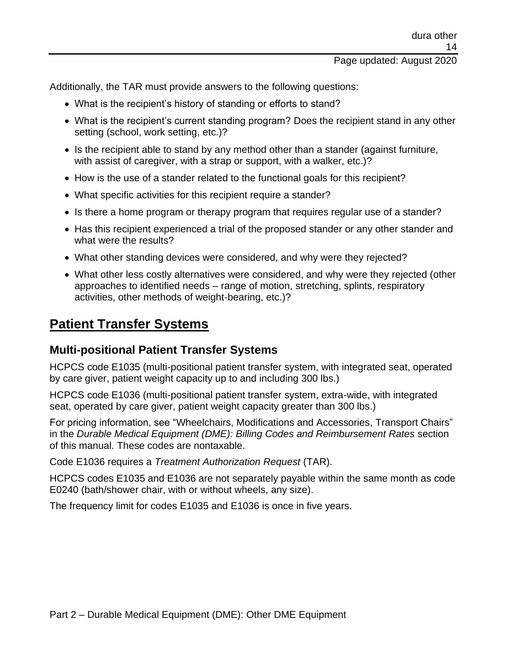### Page updated: August 2020

Additionally, the TAR must provide answers to the following questions:

- What is the recipient's history of standing or efforts to stand?
- What is the recipient's current standing program? Does the recipient stand in any other setting (school, work setting, etc.)?
- Is the recipient able to stand by any method other than a stander (against furniture, with assist of caregiver, with a strap or support, with a walker, etc.)?
- How is the use of a stander related to the functional goals for this recipient?
- What specific activities for this recipient require a stander?
- Is there a home program or therapy program that requires regular use of a stander?
- Has this recipient experienced a trial of the proposed stander or any other stander and what were the results?
- What other standing devices were considered, and why were they rejected?
- What other less costly alternatives were considered, and why were they rejected (other approaches to identified needs – range of motion, stretching, splints, respiratory activities, other methods of weight-bearing, etc.)?

# **Patient Transfer Systems**

## **Multi-positional Patient Transfer Systems**

HCPCS code E1035 (multi-positional patient transfer system, with integrated seat, operated by care giver, patient weight capacity up to and including 300 lbs.)

HCPCS code E1036 (multi-positional patient transfer system, extra-wide, with integrated seat, operated by care giver, patient weight capacity greater than 300 lbs.)

For pricing information, see "Wheelchairs, Modifications and Accessories, Transport Chairs" in the *Durable Medical Equipment (DME): Billing Codes and Reimbursement Rates* section of this manual. These codes are nontaxable.

Code E1036 requires a *Treatment Authorization Request* (TAR).

HCPCS codes E1035 and E1036 are not separately payable within the same month as code E0240 (bath/shower chair, with or without wheels, any size).

The frequency limit for codes E1035 and E1036 is once in five years.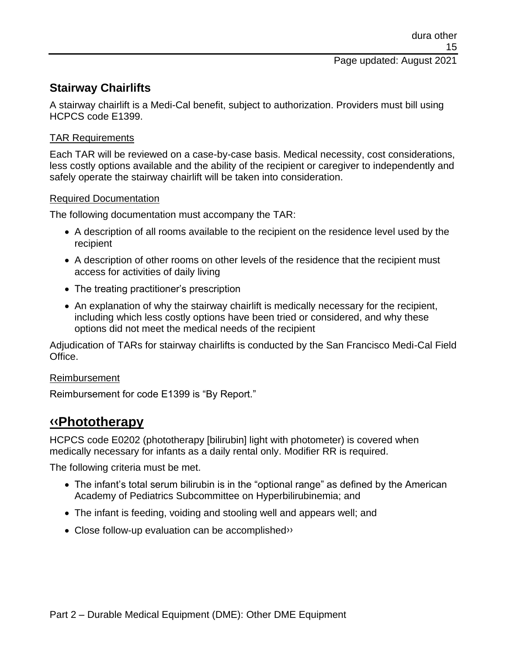## **Stairway Chairlifts**

A stairway chairlift is a Medi-Cal benefit, subject to authorization. Providers must bill using HCPCS code E1399.

## TAR Requirements

Each TAR will be reviewed on a case-by-case basis. Medical necessity, cost considerations, less costly options available and the ability of the recipient or caregiver to independently and safely operate the stairway chairlift will be taken into consideration.

### Required Documentation

The following documentation must accompany the TAR:

- A description of all rooms available to the recipient on the residence level used by the recipient
- A description of other rooms on other levels of the residence that the recipient must access for activities of daily living
- The treating practitioner's prescription
- An explanation of why the stairway chairlift is medically necessary for the recipient, including which less costly options have been tried or considered, and why these options did not meet the medical needs of the recipient

Adjudication of TARs for stairway chairlifts is conducted by the San Francisco Medi-Cal Field Office.

### Reimbursement

Reimbursement for code E1399 is "By Report."

# **[‹‹P](#page-37-0)hototherapy**

HCPCS code E0202 (phototherapy [bilirubin] light with photometer) is covered when medically necessary for infants as a daily rental only. Modifier RR is required.

The following criteria must be met.

- The infant's total serum bilirubin is in the "optional range" as defined by the American Academy of Pediatrics Subcommittee on Hyperbilirubinemia; and
- The infant is feeding, voiding and stooling well and appears well; and
- Close follow-up evaluation can be accomplished<sup>>></sup>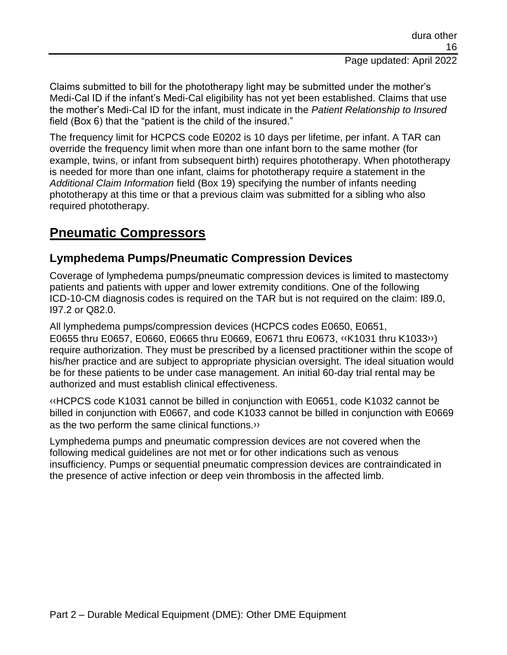Claims submitted to bill for the phototherapy light may be submitted under the mother's Medi-Cal ID if the infant's Medi-Cal eligibility has not yet been established. Claims that use the mother's Medi-Cal ID for the infant, must indicate in the *Patient Relationship to Insured* field (Box 6) that the "patient is the child of the insured."

The frequency limit for HCPCS code E0202 is 10 days per lifetime, per infant. A TAR can override the frequency limit when more than one infant born to the same mother (for example, twins, or infant from subsequent birth) requires phototherapy. When phototherapy is needed for more than one infant, claims for phototherapy require a statement in the *Additional Claim Information* field (Box 19) specifying the number of infants needing phototherapy at this time or that a previous claim was submitted for a sibling who also required phototherapy.

# **Pneumatic Compressors**

## **Lymphedema Pumps/Pneumatic Compression Devices**

Coverage of lymphedema pumps/pneumatic compression devices is limited to mastectomy patients and patients with upper and lower extremity conditions. One of the following ICD-10-CM diagnosis codes is required on the TAR but is not required on the claim: I89.0, I97.2 or Q82.0.

All lymphedema pumps/compression devices (HCPCS codes E0650, E0651, E0655 thru E0657, E0660, E0665 thru E0669, E0671 thru E0673, [‹‹K](#page-37-0)1031 thru K103[3››\)](#page-37-1) require authorization. They must be prescribed by a licensed practitioner within the scope of his/her practice and are subject to appropriate physician oversight. The ideal situation would be for these patients to be under case management. An initial 60-day trial rental may be authorized and must establish clinical effectiveness.

[‹‹H](#page-37-0)CPCS code K1031 cannot be billed in conjunction with E0651, code K1032 cannot be billed in conjunction with E0667, and code K1033 cannot be billed in conjunction with E0669 as the two perform the same clinical functions[.››](#page-37-1)

Lymphedema pumps and pneumatic compression devices are not covered when the following medical guidelines are not met or for other indications such as venous insufficiency. Pumps or sequential pneumatic compression devices are contraindicated in the presence of active infection or deep vein thrombosis in the affected limb.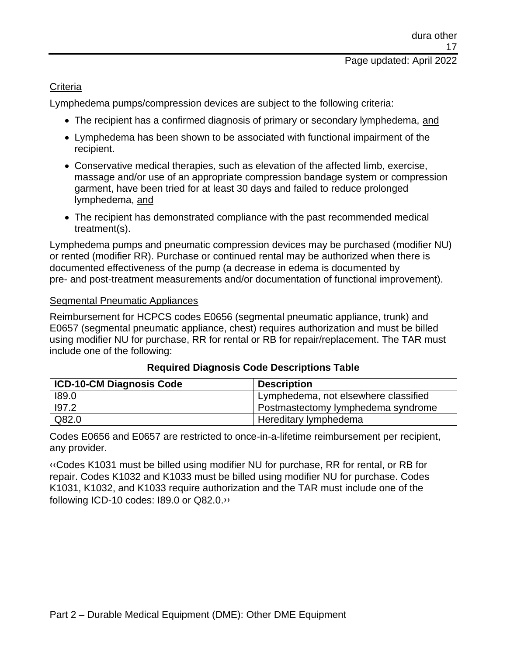#### **Criteria**

Lymphedema pumps/compression devices are subject to the following criteria:

- The recipient has a confirmed diagnosis of primary or secondary lymphedema, and
- Lymphedema has been shown to be associated with functional impairment of the recipient.
- Conservative medical therapies, such as elevation of the affected limb, exercise, massage and/or use of an appropriate compression bandage system or compression garment, have been tried for at least 30 days and failed to reduce prolonged lymphedema, and
- The recipient has demonstrated compliance with the past recommended medical treatment(s).

Lymphedema pumps and pneumatic compression devices may be purchased (modifier NU) or rented (modifier RR). Purchase or continued rental may be authorized when there is documented effectiveness of the pump (a decrease in edema is documented by pre- and post-treatment measurements and/or documentation of functional improvement).

### Segmental Pneumatic Appliances

Reimbursement for HCPCS codes E0656 (segmental pneumatic appliance, trunk) and E0657 (segmental pneumatic appliance, chest) requires authorization and must be billed using modifier NU for purchase, RR for rental or RB for repair/replacement. The TAR must include one of the following:

| ICD-10-CM Diagnosis Code | <b>Description</b>                   |
|--------------------------|--------------------------------------|
| 189.0                    | Lymphedema, not elsewhere classified |
| 197.2                    | I Postmastectomy lymphedema syndrome |
| Q82.0                    | Hereditary lymphedema                |

### **Required Diagnosis Code Descriptions Table**

Codes E0656 and E0657 are restricted to once-in-a-lifetime reimbursement per recipient, any provider.

[‹‹C](#page-37-0)odes K1031 must be billed using modifier NU for purchase, RR for rental, or RB for repair. Codes K1032 and K1033 must be billed using modifier NU for purchase. Codes K1031, K1032, and K1033 require authorization and the TAR must include one of the following ICD-10 codes: I89.0 or Q82.0[.››](#page-37-1)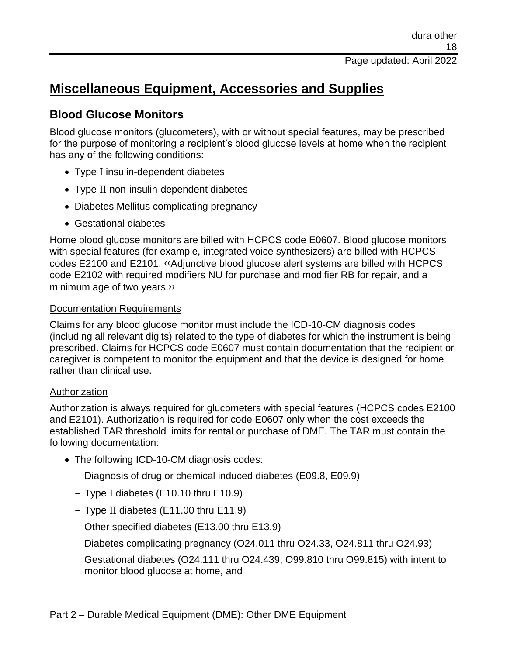# **Miscellaneous Equipment, Accessories and Supplies**

## **Blood Glucose Monitors**

Blood glucose monitors (glucometers), with or without special features, may be prescribed for the purpose of monitoring a recipient's blood glucose levels at home when the recipient has any of the following conditions:

- Type I insulin-dependent diabetes
- Type II non-insulin-dependent diabetes
- Diabetes Mellitus complicating pregnancy
- Gestational diabetes

Home blood glucose monitors are billed with HCPCS code E0607. Blood glucose monitors with special features (for example, integrated voice synthesizers) are billed with HCPCS codes E2100 and E2101. [‹‹A](#page-37-0)djunctive blood glucose alert systems are billed with HCPCS code E2102 with required modifiers NU for purchase and modifier RB for repair, and a minimum age of two years[.››](#page-37-1)

## Documentation Requirements

Claims for any blood glucose monitor must include the ICD-10-CM diagnosis codes (including all relevant digits) related to the type of diabetes for which the instrument is being prescribed. Claims for HCPCS code E0607 must contain documentation that the recipient or caregiver is competent to monitor the equipment and that the device is designed for home rather than clinical use.

## Authorization

Authorization is always required for glucometers with special features (HCPCS codes E2100 and E2101). Authorization is required for code E0607 only when the cost exceeds the established TAR threshold limits for rental or purchase of DME. The TAR must contain the following documentation:

- The following ICD-10-CM diagnosis codes:
	- Diagnosis of drug or chemical induced diabetes (E09.8, E09.9)
	- Type I diabetes (E10.10 thru E10.9)
	- Type II diabetes (E11.00 thru E11.9)
	- Other specified diabetes (E13.00 thru E13.9)
	- Diabetes complicating pregnancy (O24.011 thru O24.33, O24.811 thru O24.93)
	- Gestational diabetes (O24.111 thru O24.439, O99.810 thru O99.815) with intent to monitor blood glucose at home, and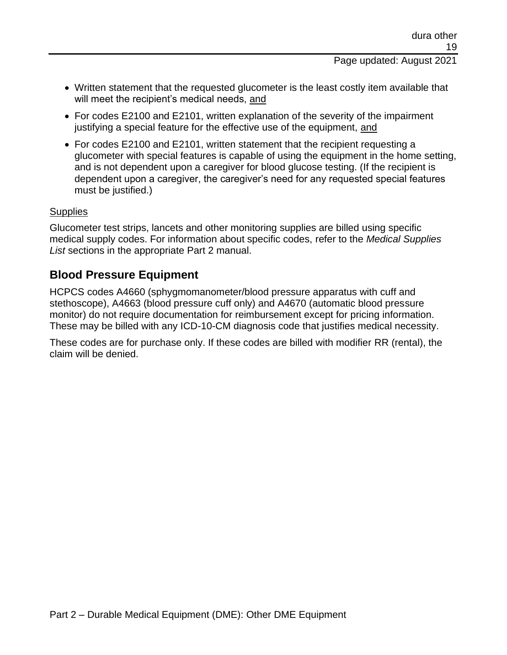Page updated: August 2021

- Written statement that the requested glucometer is the least costly item available that will meet the recipient's medical needs, and
- For codes E2100 and E2101, written explanation of the severity of the impairment justifying a special feature for the effective use of the equipment, and
- For codes E2100 and E2101, written statement that the recipient requesting a glucometer with special features is capable of using the equipment in the home setting, and is not dependent upon a caregiver for blood glucose testing. (If the recipient is dependent upon a caregiver, the caregiver's need for any requested special features must be justified.)

### **Supplies**

Glucometer test strips, lancets and other monitoring supplies are billed using specific medical supply codes. For information about specific codes, refer to the *Medical Supplies List* sections in the appropriate Part 2 manual.

## **Blood Pressure Equipment**

HCPCS codes A4660 (sphygmomanometer/blood pressure apparatus with cuff and stethoscope), A4663 (blood pressure cuff only) and A4670 (automatic blood pressure monitor) do not require documentation for reimbursement except for pricing information. These may be billed with any ICD-10-CM diagnosis code that justifies medical necessity.

These codes are for purchase only. If these codes are billed with modifier RR (rental), the claim will be denied.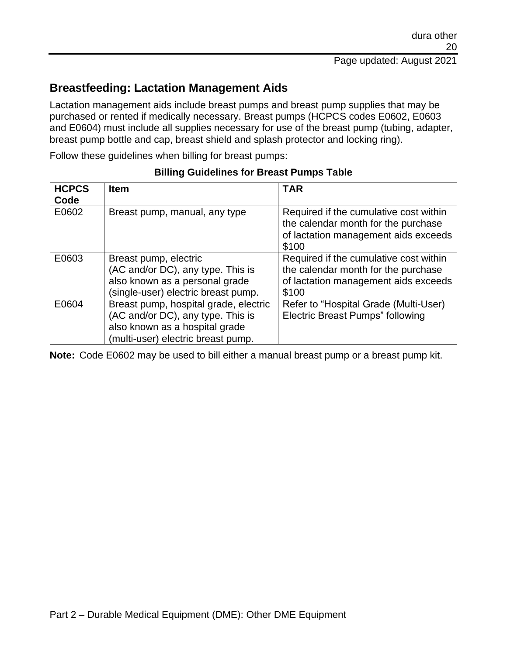# **Breastfeeding: Lactation Management Aids**

Lactation management aids include breast pumps and breast pump supplies that may be purchased or rented if medically necessary. Breast pumps (HCPCS codes E0602, E0603 and E0604) must include all supplies necessary for use of the breast pump (tubing, adapter, breast pump bottle and cap, breast shield and splash protector and locking ring).

Follow these guidelines when billing for breast pumps:

| <b>HCPCS</b><br>Code | <b>Item</b>                                                                                                                                        | <b>TAR</b>                                                                                                                     |
|----------------------|----------------------------------------------------------------------------------------------------------------------------------------------------|--------------------------------------------------------------------------------------------------------------------------------|
| E0602                | Breast pump, manual, any type                                                                                                                      | Required if the cumulative cost within<br>the calendar month for the purchase<br>of lactation management aids exceeds<br>\$100 |
| E0603                | Breast pump, electric<br>(AC and/or DC), any type. This is<br>also known as a personal grade<br>(single-user) electric breast pump.                | Required if the cumulative cost within<br>the calendar month for the purchase<br>of lactation management aids exceeds<br>\$100 |
| E0604                | Breast pump, hospital grade, electric<br>(AC and/or DC), any type. This is<br>also known as a hospital grade<br>(multi-user) electric breast pump. | Refer to "Hospital Grade (Multi-User)<br><b>Electric Breast Pumps" following</b>                                               |

#### **Billing Guidelines for Breast Pumps Table**

**Note:** Code E0602 may be used to bill either a manual breast pump or a breast pump kit.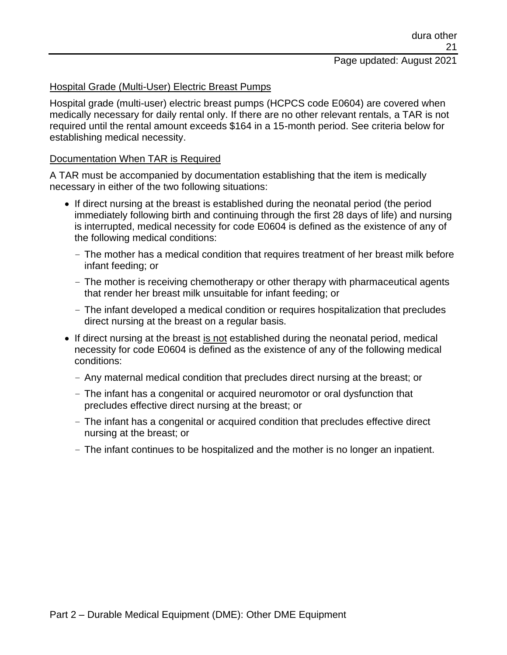# Page updated: August 2021

#### Hospital Grade (Multi-User) Electric Breast Pumps

Hospital grade (multi-user) electric breast pumps (HCPCS code E0604) are covered when medically necessary for daily rental only. If there are no other relevant rentals, a TAR is not required until the rental amount exceeds \$164 in a 15-month period. See criteria below for establishing medical necessity.

#### Documentation When TAR is Required

A TAR must be accompanied by documentation establishing that the item is medically necessary in either of the two following situations:

- If direct nursing at the breast is established during the neonatal period (the period immediately following birth and continuing through the first 28 days of life) and nursing is interrupted, medical necessity for code E0604 is defined as the existence of any of the following medical conditions:
	- The mother has a medical condition that requires treatment of her breast milk before infant feeding; or
	- The mother is receiving chemotherapy or other therapy with pharmaceutical agents that render her breast milk unsuitable for infant feeding; or
	- The infant developed a medical condition or requires hospitalization that precludes direct nursing at the breast on a regular basis.
- If direct nursing at the breast is not established during the neonatal period, medical necessity for code E0604 is defined as the existence of any of the following medical conditions:
	- Any maternal medical condition that precludes direct nursing at the breast; or
	- The infant has a congenital or acquired neuromotor or oral dysfunction that precludes effective direct nursing at the breast; or
	- The infant has a congenital or acquired condition that precludes effective direct nursing at the breast; or
	- The infant continues to be hospitalized and the mother is no longer an inpatient.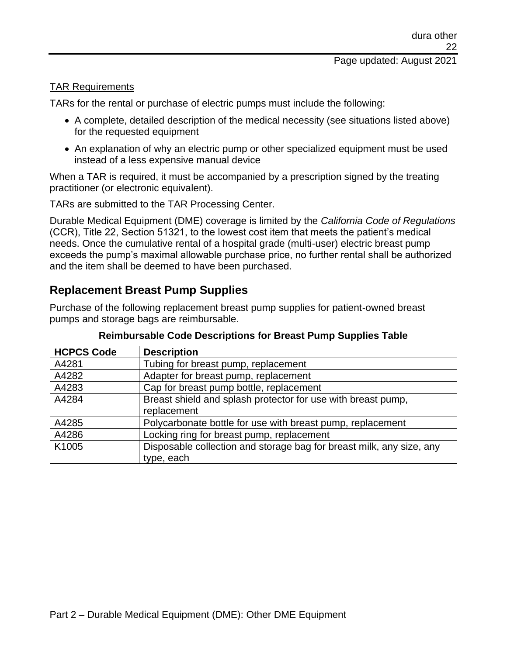#### TAR Requirements

TARs for the rental or purchase of electric pumps must include the following:

- A complete, detailed description of the medical necessity (see situations listed above) for the requested equipment
- An explanation of why an electric pump or other specialized equipment must be used instead of a less expensive manual device

When a TAR is required, it must be accompanied by a prescription signed by the treating practitioner (or electronic equivalent).

TARs are submitted to the TAR Processing Center.

Durable Medical Equipment (DME) coverage is limited by the *California Code of Regulations* (CCR), Title 22, Section 51321, to the lowest cost item that meets the patient's medical needs. Once the cumulative rental of a hospital grade (multi-user) electric breast pump exceeds the pump's maximal allowable purchase price, no further rental shall be authorized and the item shall be deemed to have been purchased.

## **Replacement Breast Pump Supplies**

Purchase of the following replacement breast pump supplies for patient-owned breast pumps and storage bags are reimbursable.

| <b>HCPCS Code</b> | <b>Description</b>                                                   |
|-------------------|----------------------------------------------------------------------|
| A4281             | Tubing for breast pump, replacement                                  |
| A4282             | Adapter for breast pump, replacement                                 |
| A4283             | Cap for breast pump bottle, replacement                              |
| A4284             | Breast shield and splash protector for use with breast pump,         |
|                   | replacement                                                          |
| A4285             | Polycarbonate bottle for use with breast pump, replacement           |
| A4286             | Locking ring for breast pump, replacement                            |
| K1005             | Disposable collection and storage bag for breast milk, any size, any |
|                   | type, each                                                           |

#### **Reimbursable Code Descriptions for Breast Pump Supplies Table**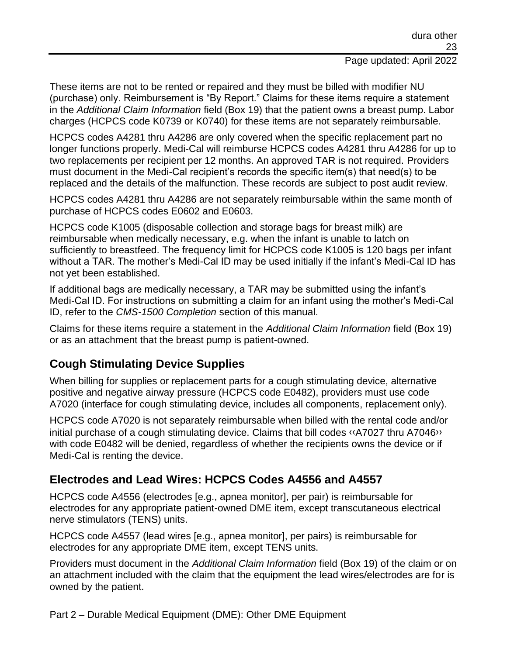These items are not to be rented or repaired and they must be billed with modifier NU (purchase) only. Reimbursement is "By Report." Claims for these items require a statement in the *Additional Claim Information* field (Box 19) that the patient owns a breast pump. Labor charges (HCPCS code K0739 or K0740) for these items are not separately reimbursable.

HCPCS codes A4281 thru A4286 are only covered when the specific replacement part no longer functions properly. Medi-Cal will reimburse HCPCS codes A4281 thru A4286 for up to two replacements per recipient per 12 months. An approved TAR is not required. Providers must document in the Medi-Cal recipient's records the specific item(s) that need(s) to be replaced and the details of the malfunction. These records are subject to post audit review.

HCPCS codes A4281 thru A4286 are not separately reimbursable within the same month of purchase of HCPCS codes E0602 and E0603.

HCPCS code K1005 (disposable collection and storage bags for breast milk) are reimbursable when medically necessary, e.g. when the infant is unable to latch on sufficiently to breastfeed. The frequency limit for HCPCS code K1005 is 120 bags per infant without a TAR. The mother's Medi-Cal ID may be used initially if the infant's Medi-Cal ID has not yet been established.

If additional bags are medically necessary, a TAR may be submitted using the infant's Medi-Cal ID. For instructions on submitting a claim for an infant using the mother's Medi-Cal ID, refer to the *CMS-1500 Completion* section of this manual.

Claims for these items require a statement in the *Additional Claim Information* field (Box 19) or as an attachment that the breast pump is patient-owned.

# **Cough Stimulating Device Supplies**

When billing for supplies or replacement parts for a cough stimulating device, alternative positive and negative airway pressure (HCPCS code E0482), providers must use code A7020 (interface for cough stimulating device, includes all components, replacement only).

HCPCS code A7020 is not separately reimbursable when billed with the rental code and/or initial purchase of a cough stimulating device. Claims that bill codes [‹‹A](#page-37-0)7027 thru A704[6››](#page-37-1) with code E0482 will be denied, regardless of whether the recipients owns the device or if Medi-Cal is renting the device.

# **Electrodes and Lead Wires: HCPCS Codes A4556 and A4557**

HCPCS code A4556 (electrodes [e.g., apnea monitor], per pair) is reimbursable for electrodes for any appropriate patient-owned DME item, except transcutaneous electrical nerve stimulators (TENS) units.

HCPCS code A4557 (lead wires [e.g., apnea monitor], per pairs) is reimbursable for electrodes for any appropriate DME item, except TENS units.

Providers must document in the *Additional Claim Information* field (Box 19) of the claim or on an attachment included with the claim that the equipment the lead wires/electrodes are for is owned by the patient.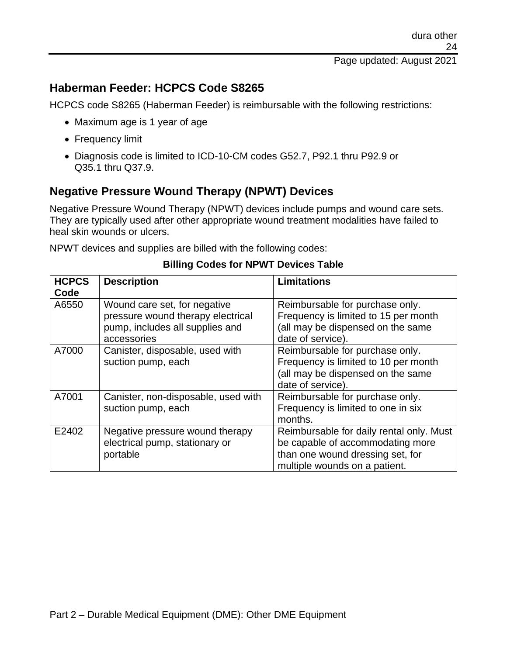## **Haberman Feeder: HCPCS Code S8265**

HCPCS code S8265 (Haberman Feeder) is reimbursable with the following restrictions:

- Maximum age is 1 year of age
- Frequency limit
- Diagnosis code is limited to ICD-10-CM codes G52.7, P92.1 thru P92.9 or Q35.1 thru Q37.9.

## **Negative Pressure Wound Therapy (NPWT) Devices**

Negative Pressure Wound Therapy (NPWT) devices include pumps and wound care sets. They are typically used after other appropriate wound treatment modalities have failed to heal skin wounds or ulcers.

NPWT devices and supplies are billed with the following codes:

| <b>HCPCS</b> | <b>Description</b>                                                                                                  | <b>Limitations</b>                                                                                                                                |
|--------------|---------------------------------------------------------------------------------------------------------------------|---------------------------------------------------------------------------------------------------------------------------------------------------|
| Code         |                                                                                                                     |                                                                                                                                                   |
| A6550        | Wound care set, for negative<br>pressure wound therapy electrical<br>pump, includes all supplies and<br>accessories | Reimbursable for purchase only.<br>Frequency is limited to 15 per month<br>(all may be dispensed on the same<br>date of service).                 |
| A7000        | Canister, disposable, used with<br>suction pump, each                                                               | Reimbursable for purchase only.<br>Frequency is limited to 10 per month<br>(all may be dispensed on the same<br>date of service).                 |
| A7001        | Canister, non-disposable, used with<br>suction pump, each                                                           | Reimbursable for purchase only.<br>Frequency is limited to one in six<br>months.                                                                  |
| E2402        | Negative pressure wound therapy<br>electrical pump, stationary or<br>portable                                       | Reimbursable for daily rental only. Must<br>be capable of accommodating more<br>than one wound dressing set, for<br>multiple wounds on a patient. |

#### **Billing Codes for NPWT Devices Table**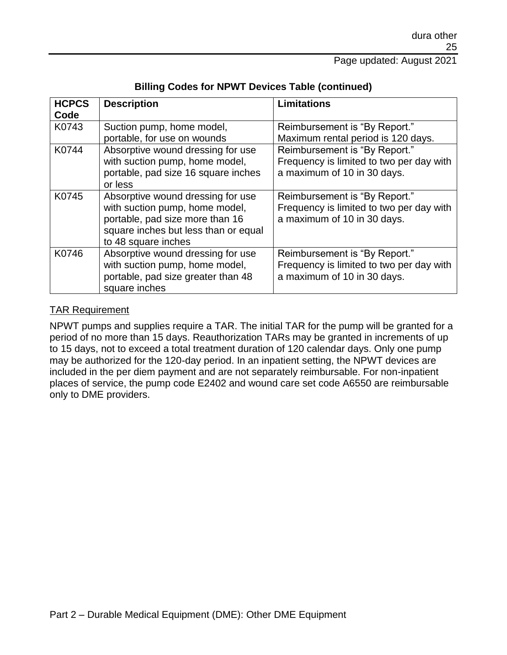| <b>HCPCS</b><br>Code | <b>Description</b>                                                                                                                                                    | <b>Limitations</b>                                                                                       |
|----------------------|-----------------------------------------------------------------------------------------------------------------------------------------------------------------------|----------------------------------------------------------------------------------------------------------|
| K0743                | Suction pump, home model,<br>portable, for use on wounds                                                                                                              | Reimbursement is "By Report."<br>Maximum rental period is 120 days.                                      |
| K0744                | Absorptive wound dressing for use<br>with suction pump, home model,<br>portable, pad size 16 square inches<br>or less                                                 | Reimbursement is "By Report."<br>Frequency is limited to two per day with<br>a maximum of 10 in 30 days. |
| K0745                | Absorptive wound dressing for use<br>with suction pump, home model,<br>portable, pad size more than 16<br>square inches but less than or equal<br>to 48 square inches | Reimbursement is "By Report."<br>Frequency is limited to two per day with<br>a maximum of 10 in 30 days. |
| K0746                | Absorptive wound dressing for use<br>with suction pump, home model,<br>portable, pad size greater than 48<br>square inches                                            | Reimbursement is "By Report."<br>Frequency is limited to two per day with<br>a maximum of 10 in 30 days. |

#### **Billing Codes for NPWT Devices Table (continued)**

#### TAR Requirement

NPWT pumps and supplies require a TAR. The initial TAR for the pump will be granted for a period of no more than 15 days. Reauthorization TARs may be granted in increments of up to 15 days, not to exceed a total treatment duration of 120 calendar days. Only one pump may be authorized for the 120-day period. In an inpatient setting, the NPWT devices are included in the per diem payment and are not separately reimbursable. For non-inpatient places of service, the pump code E2402 and wound care set code A6550 are reimbursable only to DME providers.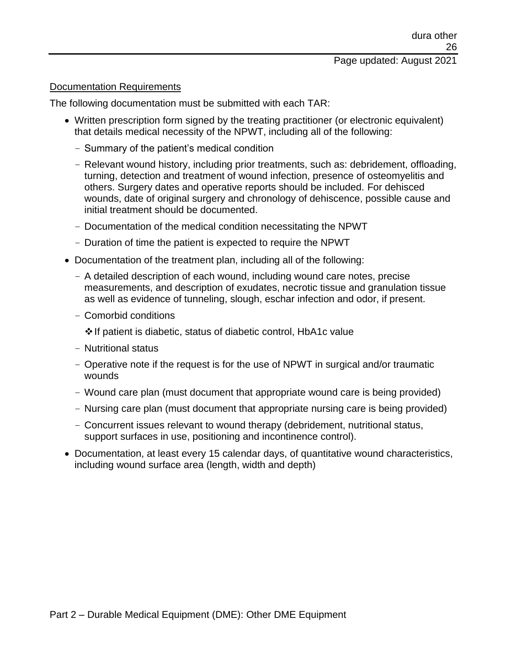#### Documentation Requirements

The following documentation must be submitted with each TAR:

- Written prescription form signed by the treating practitioner (or electronic equivalent) that details medical necessity of the NPWT, including all of the following:
	- Summary of the patient's medical condition
	- Relevant wound history, including prior treatments, such as: debridement, offloading, turning, detection and treatment of wound infection, presence of osteomyelitis and others. Surgery dates and operative reports should be included. For dehisced wounds, date of original surgery and chronology of dehiscence, possible cause and initial treatment should be documented.
	- Documentation of the medical condition necessitating the NPWT
	- Duration of time the patient is expected to require the NPWT
- Documentation of the treatment plan, including all of the following:
	- A detailed description of each wound, including wound care notes, precise measurements, and description of exudates, necrotic tissue and granulation tissue as well as evidence of tunneling, slough, eschar infection and odor, if present.
	- Comorbid conditions

❖If patient is diabetic, status of diabetic control, HbA1c value

- Nutritional status
- Operative note if the request is for the use of NPWT in surgical and/or traumatic wounds
- Wound care plan (must document that appropriate wound care is being provided)
- Nursing care plan (must document that appropriate nursing care is being provided)
- Concurrent issues relevant to wound therapy (debridement, nutritional status, support surfaces in use, positioning and incontinence control).
- Documentation, at least every 15 calendar days, of quantitative wound characteristics, including wound surface area (length, width and depth)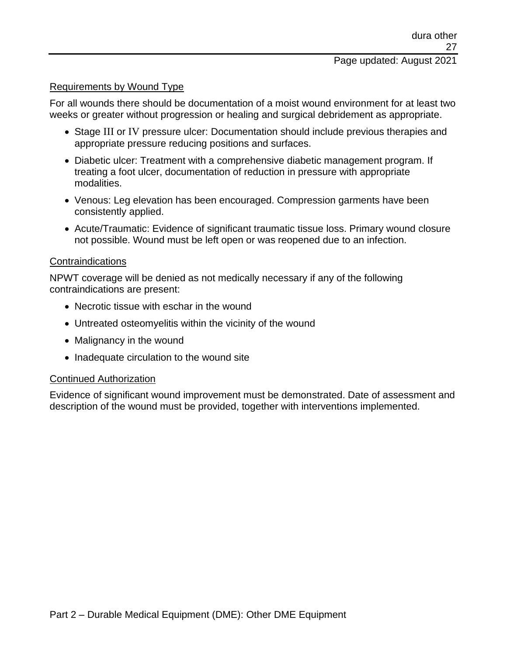#### Requirements by Wound Type

For all wounds there should be documentation of a moist wound environment for at least two weeks or greater without progression or healing and surgical debridement as appropriate.

- Stage III or IV pressure ulcer: Documentation should include previous therapies and appropriate pressure reducing positions and surfaces.
- Diabetic ulcer: Treatment with a comprehensive diabetic management program. If treating a foot ulcer, documentation of reduction in pressure with appropriate modalities.
- Venous: Leg elevation has been encouraged. Compression garments have been consistently applied.
- Acute/Traumatic: Evidence of significant traumatic tissue loss. Primary wound closure not possible. Wound must be left open or was reopened due to an infection.

#### Contraindications

NPWT coverage will be denied as not medically necessary if any of the following contraindications are present:

- Necrotic tissue with eschar in the wound
- Untreated osteomyelitis within the vicinity of the wound
- Malignancy in the wound
- Inadequate circulation to the wound site

#### Continued Authorization

Evidence of significant wound improvement must be demonstrated. Date of assessment and description of the wound must be provided, together with interventions implemented.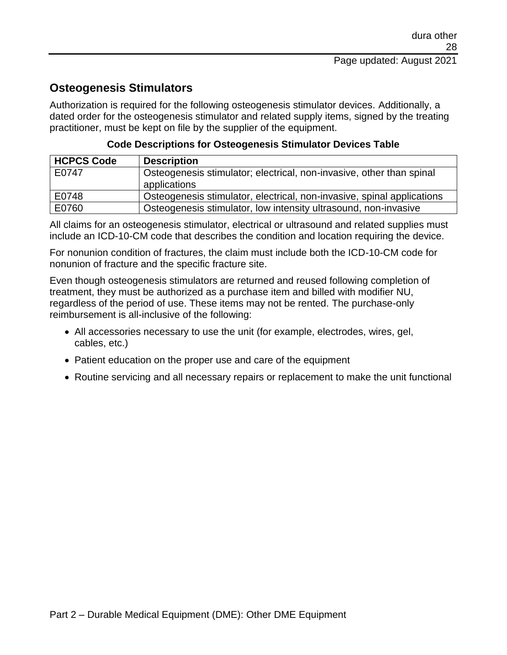# **Osteogenesis Stimulators**

Authorization is required for the following osteogenesis stimulator devices. Additionally, a dated order for the osteogenesis stimulator and related supply items, signed by the treating practitioner, must be kept on file by the supplier of the equipment.

| <b>HCPCS Code</b> | <b>Description</b>                                                                   |
|-------------------|--------------------------------------------------------------------------------------|
| E0747             | Osteogenesis stimulator; electrical, non-invasive, other than spinal<br>applications |
| E0748             | Osteogenesis stimulator, electrical, non-invasive, spinal applications               |
| E0760             | Osteogenesis stimulator, low intensity ultrasound, non-invasive                      |

#### **Code Descriptions for Osteogenesis Stimulator Devices Table**

All claims for an osteogenesis stimulator, electrical or ultrasound and related supplies must include an ICD-10-CM code that describes the condition and location requiring the device.

For nonunion condition of fractures, the claim must include both the ICD-10-CM code for nonunion of fracture and the specific fracture site.

Even though osteogenesis stimulators are returned and reused following completion of treatment, they must be authorized as a purchase item and billed with modifier NU, regardless of the period of use. These items may not be rented. The purchase-only reimbursement is all-inclusive of the following:

- All accessories necessary to use the unit (for example, electrodes, wires, gel, cables, etc.)
- Patient education on the proper use and care of the equipment
- Routine servicing and all necessary repairs or replacement to make the unit functional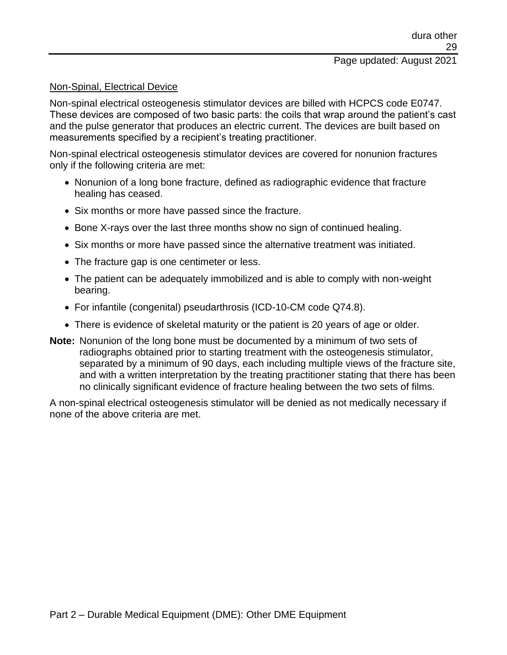#### Non-Spinal, Electrical Device

Non-spinal electrical osteogenesis stimulator devices are billed with HCPCS code E0747. These devices are composed of two basic parts: the coils that wrap around the patient's cast and the pulse generator that produces an electric current. The devices are built based on measurements specified by a recipient's treating practitioner.

Non-spinal electrical osteogenesis stimulator devices are covered for nonunion fractures only if the following criteria are met:

- Nonunion of a long bone fracture, defined as radiographic evidence that fracture healing has ceased.
- Six months or more have passed since the fracture.
- Bone X-rays over the last three months show no sign of continued healing.
- Six months or more have passed since the alternative treatment was initiated.
- The fracture gap is one centimeter or less.
- The patient can be adequately immobilized and is able to comply with non-weight bearing.
- For infantile (congenital) pseudarthrosis (ICD-10-CM code Q74.8).
- There is evidence of skeletal maturity or the patient is 20 years of age or older.
- **Note:** Nonunion of the long bone must be documented by a minimum of two sets of radiographs obtained prior to starting treatment with the osteogenesis stimulator, separated by a minimum of 90 days, each including multiple views of the fracture site, and with a written interpretation by the treating practitioner stating that there has been no clinically significant evidence of fracture healing between the two sets of films.

A non-spinal electrical osteogenesis stimulator will be denied as not medically necessary if none of the above criteria are met.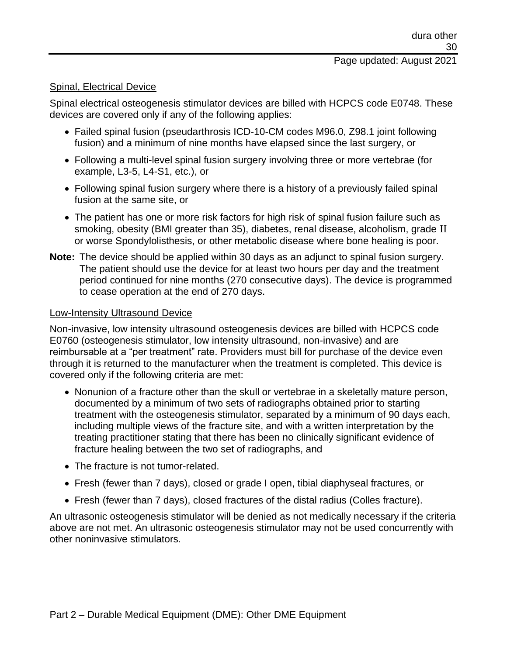### Page updated: August 2021

#### Spinal, Electrical Device

Spinal electrical osteogenesis stimulator devices are billed with HCPCS code E0748. These devices are covered only if any of the following applies:

- Failed spinal fusion (pseudarthrosis ICD-10-CM codes M96.0, Z98.1 joint following fusion) and a minimum of nine months have elapsed since the last surgery, or
- Following a multi-level spinal fusion surgery involving three or more vertebrae (for example, L3-5, L4-S1, etc.), or
- Following spinal fusion surgery where there is a history of a previously failed spinal fusion at the same site, or
- The patient has one or more risk factors for high risk of spinal fusion failure such as smoking, obesity (BMI greater than 35), diabetes, renal disease, alcoholism, grade II or worse Spondylolisthesis, or other metabolic disease where bone healing is poor.
- **Note:** The device should be applied within 30 days as an adjunct to spinal fusion surgery. The patient should use the device for at least two hours per day and the treatment period continued for nine months (270 consecutive days). The device is programmed to cease operation at the end of 270 days.

#### Low-Intensity Ultrasound Device

Non-invasive, low intensity ultrasound osteogenesis devices are billed with HCPCS code E0760 (osteogenesis stimulator, low intensity ultrasound, non-invasive) and are reimbursable at a "per treatment" rate. Providers must bill for purchase of the device even through it is returned to the manufacturer when the treatment is completed. This device is covered only if the following criteria are met:

- Nonunion of a fracture other than the skull or vertebrae in a skeletally mature person, documented by a minimum of two sets of radiographs obtained prior to starting treatment with the osteogenesis stimulator, separated by a minimum of 90 days each, including multiple views of the fracture site, and with a written interpretation by the treating practitioner stating that there has been no clinically significant evidence of fracture healing between the two set of radiographs, and
- The fracture is not tumor-related.
- Fresh (fewer than 7 days), closed or grade I open, tibial diaphyseal fractures, or
- Fresh (fewer than 7 days), closed fractures of the distal radius (Colles fracture).

An ultrasonic osteogenesis stimulator will be denied as not medically necessary if the criteria above are not met. An ultrasonic osteogenesis stimulator may not be used concurrently with other noninvasive stimulators.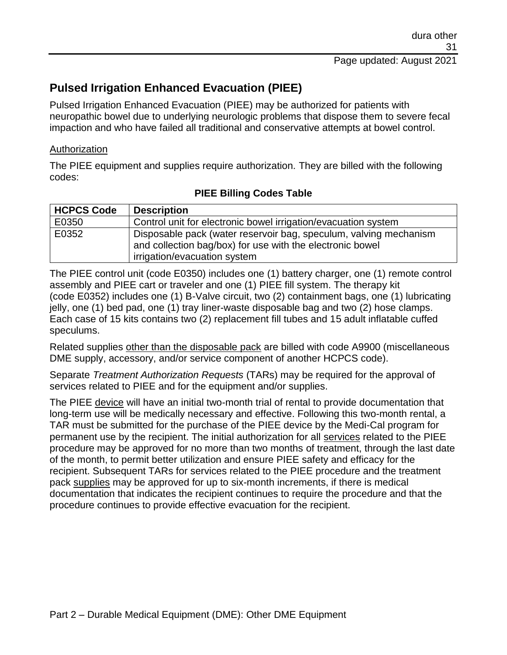# **Pulsed Irrigation Enhanced Evacuation (PIEE)**

Pulsed Irrigation Enhanced Evacuation (PIEE) may be authorized for patients with neuropathic bowel due to underlying neurologic problems that dispose them to severe fecal impaction and who have failed all traditional and conservative attempts at bowel control.

#### Authorization

The PIEE equipment and supplies require authorization. They are billed with the following codes:

| <b>HCPCS Code</b> | <b>Description</b>                                                |
|-------------------|-------------------------------------------------------------------|
| E0350             | Control unit for electronic bowel irrigation/evacuation system    |
| E0352             | Disposable pack (water reservoir bag, speculum, valving mechanism |
|                   | and collection bag/box) for use with the electronic bowel         |
|                   | irrigation/evacuation system                                      |

## **PIEE Billing Codes Table**

The PIEE control unit (code E0350) includes one (1) battery charger, one (1) remote control assembly and PIEE cart or traveler and one (1) PIEE fill system. The therapy kit (code E0352) includes one (1) B-Valve circuit, two (2) containment bags, one (1) lubricating jelly, one (1) bed pad, one (1) tray liner-waste disposable bag and two (2) hose clamps. Each case of 15 kits contains two (2) replacement fill tubes and 15 adult inflatable cuffed speculums.

Related supplies other than the disposable pack are billed with code A9900 (miscellaneous DME supply, accessory, and/or service component of another HCPCS code).

Separate *Treatment Authorization Requests* (TARs) may be required for the approval of services related to PIEE and for the equipment and/or supplies.

The PIEE device will have an initial two-month trial of rental to provide documentation that long-term use will be medically necessary and effective. Following this two-month rental, a TAR must be submitted for the purchase of the PIEE device by the Medi-Cal program for permanent use by the recipient. The initial authorization for all services related to the PIEE procedure may be approved for no more than two months of treatment, through the last date of the month, to permit better utilization and ensure PIEE safety and efficacy for the recipient. Subsequent TARs for services related to the PIEE procedure and the treatment pack supplies may be approved for up to six-month increments, if there is medical documentation that indicates the recipient continues to require the procedure and that the procedure continues to provide effective evacuation for the recipient.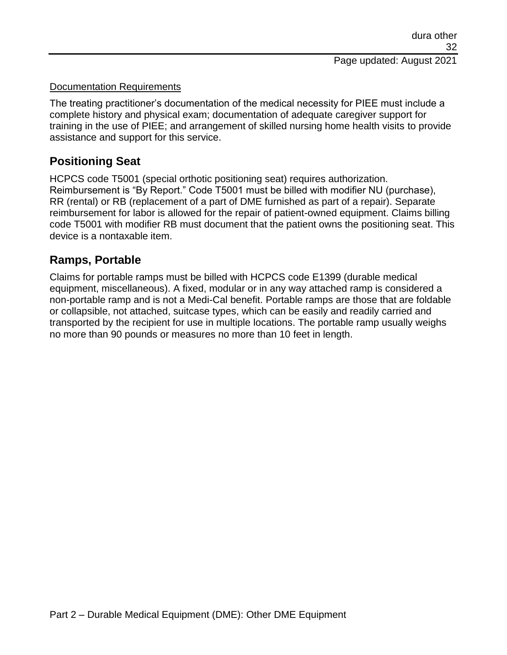#### Documentation Requirements

The treating practitioner's documentation of the medical necessity for PIEE must include a complete history and physical exam; documentation of adequate caregiver support for training in the use of PIEE; and arrangement of skilled nursing home health visits to provide assistance and support for this service.

## **Positioning Seat**

HCPCS code T5001 (special orthotic positioning seat) requires authorization. Reimbursement is "By Report." Code T5001 must be billed with modifier NU (purchase), RR (rental) or RB (replacement of a part of DME furnished as part of a repair). Separate reimbursement for labor is allowed for the repair of patient-owned equipment. Claims billing code T5001 with modifier RB must document that the patient owns the positioning seat. This device is a nontaxable item.

## **Ramps, Portable**

Claims for portable ramps must be billed with HCPCS code E1399 (durable medical equipment, miscellaneous). A fixed, modular or in any way attached ramp is considered a non-portable ramp and is not a Medi-Cal benefit. Portable ramps are those that are foldable or collapsible, not attached, suitcase types, which can be easily and readily carried and transported by the recipient for use in multiple locations. The portable ramp usually weighs no more than 90 pounds or measures no more than 10 feet in length.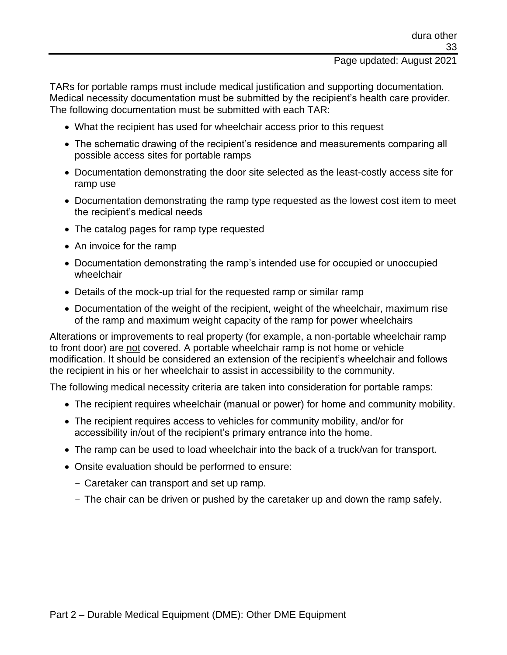#### Page updated: August 2021

TARs for portable ramps must include medical justification and supporting documentation. Medical necessity documentation must be submitted by the recipient's health care provider. The following documentation must be submitted with each TAR:

- What the recipient has used for wheelchair access prior to this request
- The schematic drawing of the recipient's residence and measurements comparing all possible access sites for portable ramps
- Documentation demonstrating the door site selected as the least-costly access site for ramp use
- Documentation demonstrating the ramp type requested as the lowest cost item to meet the recipient's medical needs
- The catalog pages for ramp type requested
- An invoice for the ramp
- Documentation demonstrating the ramp's intended use for occupied or unoccupied wheelchair
- Details of the mock-up trial for the requested ramp or similar ramp
- Documentation of the weight of the recipient, weight of the wheelchair, maximum rise of the ramp and maximum weight capacity of the ramp for power wheelchairs

Alterations or improvements to real property (for example, a non-portable wheelchair ramp to front door) are not covered. A portable wheelchair ramp is not home or vehicle modification. It should be considered an extension of the recipient's wheelchair and follows the recipient in his or her wheelchair to assist in accessibility to the community.

The following medical necessity criteria are taken into consideration for portable ramps:

- The recipient requires wheelchair (manual or power) for home and community mobility.
- The recipient requires access to vehicles for community mobility, and/or for accessibility in/out of the recipient's primary entrance into the home.
- The ramp can be used to load wheelchair into the back of a truck/van for transport.
- Onsite evaluation should be performed to ensure:
	- Caretaker can transport and set up ramp.
	- The chair can be driven or pushed by the caretaker up and down the ramp safely.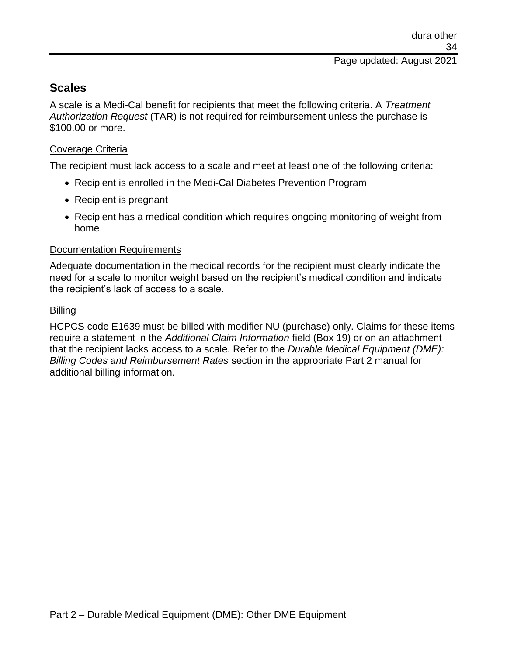## **Scales**

A scale is a Medi-Cal benefit for recipients that meet the following criteria. A *Treatment Authorization Request* (TAR) is not required for reimbursement unless the purchase is \$100.00 or more.

### Coverage Criteria

The recipient must lack access to a scale and meet at least one of the following criteria:

- Recipient is enrolled in the Medi-Cal Diabetes Prevention Program
- Recipient is pregnant
- Recipient has a medical condition which requires ongoing monitoring of weight from home

### Documentation Requirements

Adequate documentation in the medical records for the recipient must clearly indicate the need for a scale to monitor weight based on the recipient's medical condition and indicate the recipient's lack of access to a scale.

## Billing

HCPCS code E1639 must be billed with modifier NU (purchase) only. Claims for these items require a statement in the *Additional Claim Information* field (Box 19) or on an attachment that the recipient lacks access to a scale. Refer to the *Durable Medical Equipment (DME): Billing Codes and Reimbursement Rates* section in the appropriate Part 2 manual for additional billing information.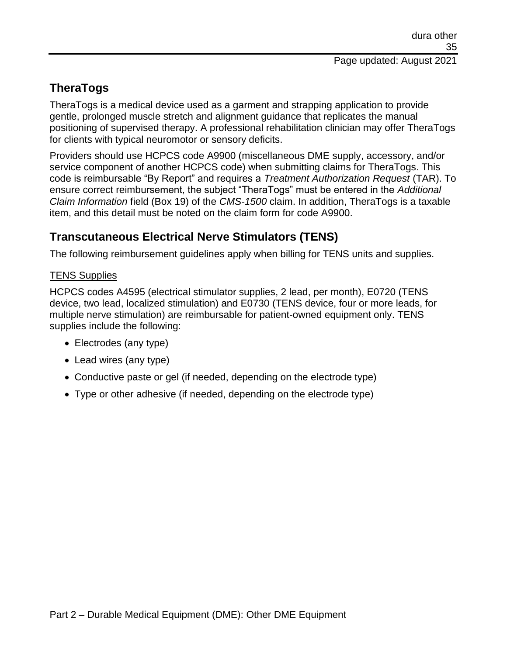# **TheraTogs**

TheraTogs is a medical device used as a garment and strapping application to provide gentle, prolonged muscle stretch and alignment guidance that replicates the manual positioning of supervised therapy. A professional rehabilitation clinician may offer TheraTogs for clients with typical neuromotor or sensory deficits.

Providers should use HCPCS code A9900 (miscellaneous DME supply, accessory, and/or service component of another HCPCS code) when submitting claims for TheraTogs. This code is reimbursable "By Report" and requires a *Treatment Authorization Request* (TAR). To ensure correct reimbursement, the subject "TheraTogs" must be entered in the *Additional Claim Information* field (Box 19) of the *CMS-1500* claim. In addition, TheraTogs is a taxable item, and this detail must be noted on the claim form for code A9900.

# **Transcutaneous Electrical Nerve Stimulators (TENS)**

The following reimbursement guidelines apply when billing for TENS units and supplies.

### TENS Supplies

HCPCS codes A4595 (electrical stimulator supplies, 2 lead, per month), E0720 (TENS device, two lead, localized stimulation) and E0730 (TENS device, four or more leads, for multiple nerve stimulation) are reimbursable for patient-owned equipment only. TENS supplies include the following:

- Electrodes (any type)
- Lead wires (any type)
- Conductive paste or gel (if needed, depending on the electrode type)
- Type or other adhesive (if needed, depending on the electrode type)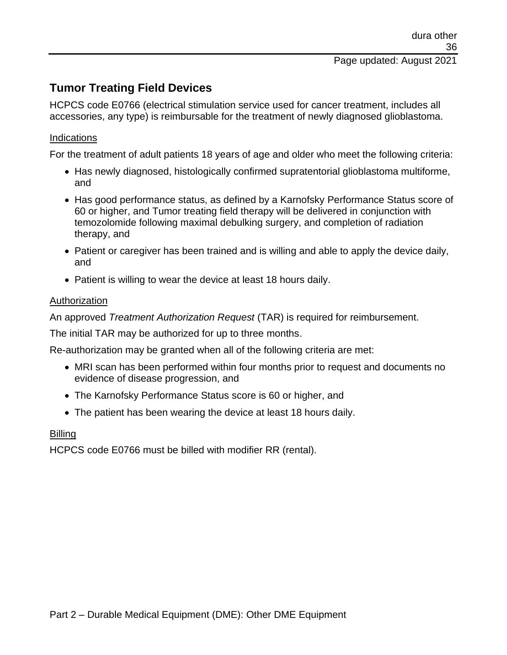# **Tumor Treating Field Devices**

HCPCS code E0766 (electrical stimulation service used for cancer treatment, includes all accessories, any type) is reimbursable for the treatment of newly diagnosed glioblastoma.

#### **Indications**

For the treatment of adult patients 18 years of age and older who meet the following criteria:

- Has newly diagnosed, histologically confirmed supratentorial glioblastoma multiforme, and
- Has good performance status, as defined by a Karnofsky Performance Status score of 60 or higher, and Tumor treating field therapy will be delivered in conjunction with temozolomide following maximal debulking surgery, and completion of radiation therapy, and
- Patient or caregiver has been trained and is willing and able to apply the device daily, and
- Patient is willing to wear the device at least 18 hours daily.

#### Authorization

An approved *Treatment Authorization Request* (TAR) is required for reimbursement.

The initial TAR may be authorized for up to three months.

Re-authorization may be granted when all of the following criteria are met:

- MRI scan has been performed within four months prior to request and documents no evidence of disease progression, and
- The Karnofsky Performance Status score is 60 or higher, and
- The patient has been wearing the device at least 18 hours daily.

#### Billing

HCPCS code E0766 must be billed with modifier RR (rental).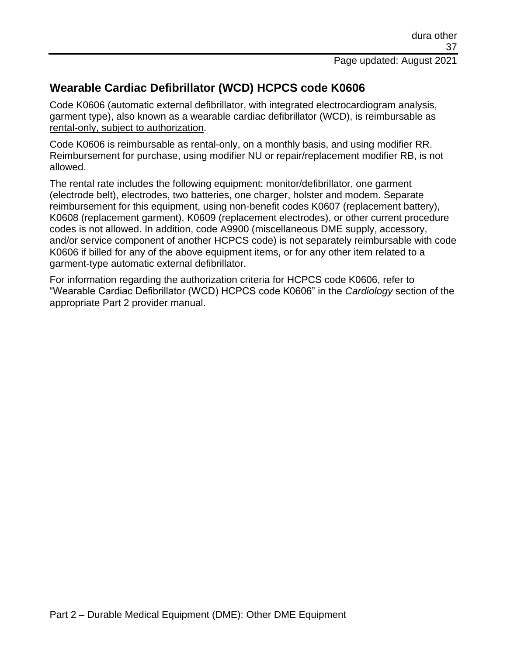# **Wearable Cardiac Defibrillator (WCD) HCPCS code K0606**

Code K0606 (automatic external defibrillator, with integrated electrocardiogram analysis, garment type), also known as a wearable cardiac defibrillator (WCD), is reimbursable as rental-only, subject to authorization.

Code K0606 is reimbursable as rental-only, on a monthly basis, and using modifier RR. Reimbursement for purchase, using modifier NU or repair/replacement modifier RB, is not allowed.

The rental rate includes the following equipment: monitor/defibrillator, one garment (electrode belt), electrodes, two batteries, one charger, holster and modem. Separate reimbursement for this equipment, using non-benefit codes K0607 (replacement battery), K0608 (replacement garment), K0609 (replacement electrodes), or other current procedure codes is not allowed. In addition, code A9900 (miscellaneous DME supply, accessory, and/or service component of another HCPCS code) is not separately reimbursable with code K0606 if billed for any of the above equipment items, or for any other item related to a garment-type automatic external defibrillator.

For information regarding the authorization criteria for HCPCS code K0606, refer to "Wearable Cardiac Defibrillator (WCD) HCPCS code K0606" in the *Cardiology* section of the appropriate Part 2 provider manual.